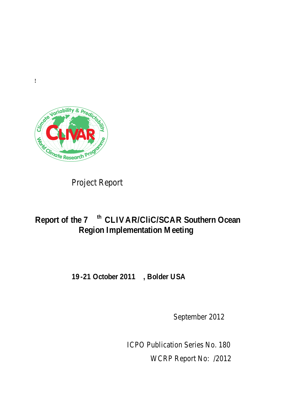

**!**

Project Report

# **Report of the 7th CLIVAR/CliC/SCAR Southern Ocean Region Implementation Meeting**

## **19-21 October 2011, Bolder USA**

September 2012

*ICPO Publication Series No. 180* WCRP Report No: /2012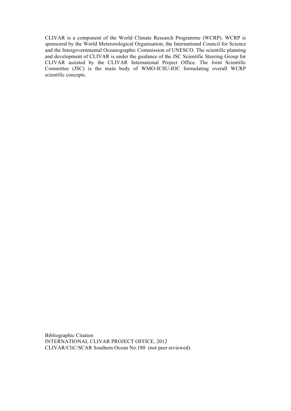CLIVAR is a component of the World Climate Research Programme (WCRP). WCRP is sponsored by the World Meterorological Organisation, the International Council for Science and the Intergovernmental Oceanographic Commission of UNESCO. The scientific planning and development of CLIVAR is under the guidance of the JSC Scientific Steering Group for CLIVAR assisted by the CLIVAR International Project Office. The Joint Scientific Committee (JSC) is the main body of WMO-ICSU-IOC formulating overall WCRP scientific concepts.

Bibliographic Citation INTERNATIONAL CLIVAR PROJECT OFFICE, 2012 CLIVAR/CliC/SCAR Southern Ocean No.180 (not peer reviewed).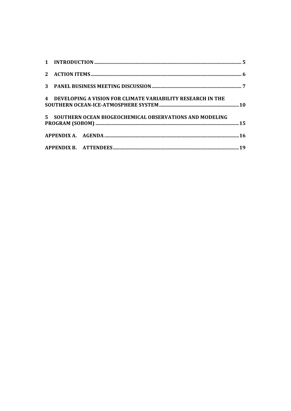|  | 4 DEVELOPING A VISION FOR CLIMATE VARIABILITY RESEARCH IN THE |  |
|--|---------------------------------------------------------------|--|
|  | 5 SOUTHERN OCEAN BIOGEOCHEMICAL OBSERVATIONS AND MODELING     |  |
|  |                                                               |  |
|  |                                                               |  |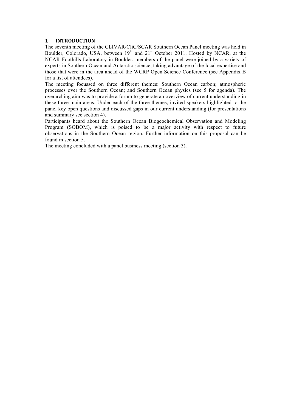## **1 INTRODUCTION**

The seventh meeting of the CLIVAR/CliC/SCAR Southern Ocean Panel meeting was held in Boulder, Colorado, USA, between  $19<sup>th</sup>$  and  $21<sup>st</sup>$  October 2011. Hosted by NCAR, at the NCAR Foothills Laboratory in Boulder, members of the panel were joined by a variety of experts in Southern Ocean and Antarctic science, taking advantage of the local expertise and those that were in the area ahead of the WCRP Open Science Conference (see Appendix B for a list of attendees).

The meeting focussed on three different themes: Southern Ocean carbon; atmospheric processes over the Southern Ocean; and Southern Ocean physics (see 5 for agenda). The overarching aim was to provide a forum to generate an overview of current understanding in these three main areas. Under each of the three themes, invited speakers highlighted to the panel key open questions and discussed gaps in our current understanding (for presentations and summary see section 4).

Participants heard about the Southern Ocean Biogeochemical Observation and Modeling Program (SOBOM), which is poised to be a major activity with respect to future observations in the Southern Ocean region. Further information on this proposal can be found in section 5.

The meeting concluded with a panel business meeting (section 3).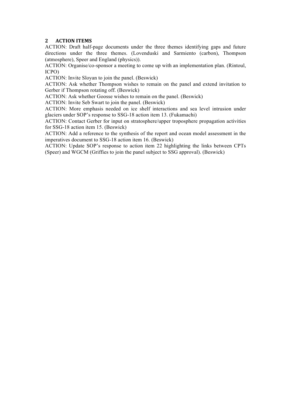## **2 ACTION!ITEMS**

ACTION: Draft half-page documents under the three themes identifying gaps and future directions under the three themes. (Lovenduski and Sarmiento (carbon), Thompson (atmosphere), Speer and England (physics)).

ACTION: Organise/co-sponsor a meeting to come up with an implementation plan. (Rintoul, ICPO)

ACTION: Invite Sloyan to join the panel. (Beswick)

ACTION: Ask whether Thompson wishes to remain on the panel and extend invitation to Gerber if Thompson rotating off. (Beswick)

ACTION: Ask whether Goosse wishes to remain on the panel. (Beswick)

ACTION: Invite Seb Swart to join the panel. (Beswick)

ACTION: More emphasis needed on ice shelf interactions and sea level intrusion under glaciers under SOP's response to SSG-18 action item 13. (Fukamachi)

ACTION: Contact Gerber for input on stratosphere/upper troposphere propagation activities for SSG-18 action item 15. (Beswick)

ACTION: Add a reference to the synthesis of the report and ocean model assessment in the imperatives document to SSG-18 action item 16. (Beswick)

ACTION: Update SOP's response to action item 22 highlighting the links between CPTs (Speer) and WGCM (Griffies to join the panel subject to SSG approval). (Beswick)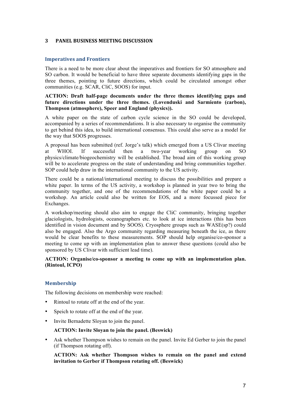## **3 PANEL BUSINESS MEETING DISCUSSION**

#### **Imperatives and Frontiers**

There is a need to be more clear about the imperatives and frontiers for SO atmosphere and SO carbon. It would be beneficial to have three separate documents identifying gaps in the three themes, pointing to future directions, which could be circulated amongst other communities (e.g. SCAR, CliC, SOOS) for input.

#### **ACTION: Draft half-page documents under the three themes identifying gaps and future directions under the three themes. (Lovenduski and Sarmiento (carbon), Thompson (atmosphere), Speer and England (physics)).**

A white paper on the state of carbon cycle science in the SO could be developed, accompanied by a series of recommendations. It is also necessary to organise the community to get behind this idea, to build international consensus. This could also serve as a model for the way that SOOS progresses.

A proposal has been submitted (ref. Jorge's talk) which emerged from a US Clivar meeting at WHOI. If successful then a two-year working group on SO physics/climate/biogeochemistry will be established. The broad aim of this working group will be to accelerate progress on the state of understanding and bring communities together. SOP could help draw in the international community to the US activity.

There could be a national/international meeting to discuss the possibilities and prepare a white paper. In terms of the US activity, a workshop is planned in year two to bring the community together, and one of the recommendations of the white paper could be a workshop. An article could also be written for EOS, and a more focussed piece for Exchanges.

A workshop/meeting should also aim to engage the CliC community, bringing together glaciologists, hydrologists, oceanographers etc. to look at ice interactions (this has been identified in vision document and by SOOS). Cryosphere groups such as WASE(sp?) could also be engaged. Also the Argo community regarding measuring beneath the ice, as there would be clear benefits to these measurements. SOP should help organise/co-sponsor a meeting to come up with an implementation plan to answer these questions (could also be sponsored by US Clivar with sufficient lead time).

### **ACTION: Organise/co-sponsor a meeting to come up with an implementation plan. (Rintoul, ICPO)**

#### **Membership**

The following decisions on membership were reached:

- Rintoul to rotate off at the end of the year.
- Speich to rotate off at the end of the year.
- Invite Bernadette Sloyan to join the panel.

#### **ACTION: Invite Sloyan to join the panel. (Beswick)**

Ask whether Thompson wishes to remain on the panel. Invite Ed Gerber to join the panel (if Thompson rotating off).

**ACTION: Ask whether Thompson wishes to remain on the panel and extend invitation to Gerber if Thompson rotating off. (Beswick)**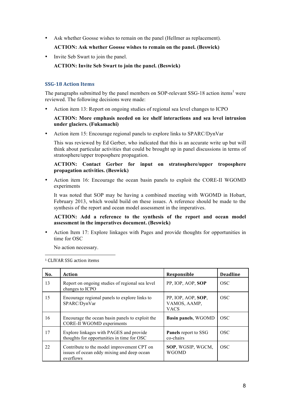• Ask whether Goosse wishes to remain on the panel (Hellmer as replacement).

## **ACTION: Ask whether Goosse wishes to remain on the panel. (Beswick)**

• Invite Seb Swart to join the panel.

## **ACTION: Invite Seb Swart to join the panel. (Beswick)**

## **SSG-18 Action Items**

The paragraphs submitted by the panel members on SOP-relevant SSG-18 action items<sup>1</sup> were reviewed. The following decisions were made:

• Action item 13: Report on ongoing studies of regional sea level changes to ICPO

#### **ACTION: More emphasis needed on ice shelf interactions and sea level intrusion under glaciers. (Fukamachi)**

• Action item 15: Encourage regional panels to explore links to SPARC/DynVar

This was reviewed by Ed Gerber, who indicated that this is an accurate write up but will think about particular activities that could be brought up in panel discussions in terms of stratosphere/upper troposphere propagation.

## **ACTION: Contact Gerber for input on stratosphere/upper troposphere propagation activities. (Beswick)**

• Action item 16: Encourage the ocean basin panels to exploit the CORE-II WGOMD experiments

It was noted that SOP may be having a combined meeting with WGOMD in Hobart, February 2013, which would build on these issues. A reference should be made to the synthesis of the report and ocean model assessment in the imperatives.

## **ACTION: Add a reference to the synthesis of the report and ocean model assessment in the imperatives document. (Beswick)**

• Action Item 17: Explore linkages with Pages and provide thoughts for opportunities in time for OSC

No action necessary.

 $\overline{a}$ <sup>1</sup> CLIVAR SSG action items

| No. | Action                                                                                                | <b>Responsible</b>                                | <b>Deadline</b> |
|-----|-------------------------------------------------------------------------------------------------------|---------------------------------------------------|-----------------|
| 13  | Report on ongoing studies of regional sea level<br>changes to ICPO                                    | PP, IOP, AOP, SOP                                 | <b>OSC</b>      |
| 15  | Encourage regional panels to explore links to<br>SPARC/DynVar                                         | PP, IOP, AOP, SOP,<br>VAMOS, AAMP,<br><b>VACS</b> | <b>OSC</b>      |
| 16  | Encourage the ocean basin panels to exploit the<br><b>CORE-II WGOMD experiments</b>                   | Basin panels, WGOMD                               | <b>OSC</b>      |
| 17  | Explore linkages with PAGES and provide<br>thoughts for opportunities in time for OSC                 | <b>Panels</b> report to SSG<br>co-chairs          | <b>OSC</b>      |
| 22  | Contribute to the model improvement CPT on<br>issues of ocean eddy mixing and deep ocean<br>overflows | SOP, WGSIP, WGCM,<br><b>WGOMD</b>                 | <b>OSC</b>      |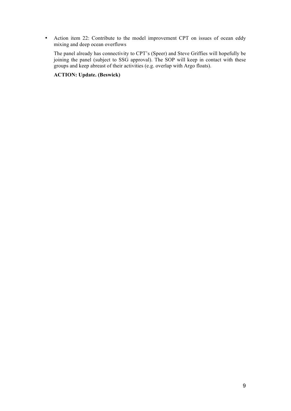• Action item 22: Contribute to the model improvement CPT on issues of ocean eddy mixing and deep ocean overflows

The panel already has connectivity to CPT's (Speer) and Steve Griffies will hopefully be joining the panel (subject to SSG approval). The SOP will keep in contact with these groups and keep abreast of their activities (e.g. overlap with Argo floats).

## **ACTION: Update. (Beswick)**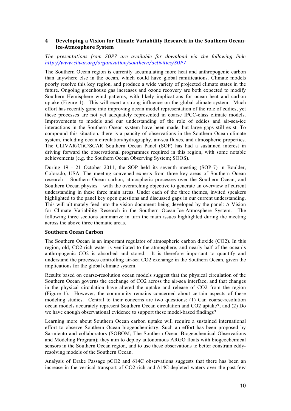## **4 Developing a Vision for Climate Variability Research in the Southern Ocean-Ice>Atmosphere!System**

## The presentations from SOP7 are available for download via the following link: *http://www.clivar.org/organization/southern/activities/SOP7*

The Southern Ocean region is currently accumulating more heat and anthropogenic carbon than anywhere else in the ocean, which could have global ramifications. Climate models poorly resolve this key region, and produce a wide variety of projected climate states in the future. Ongoing greenhouse gas increases and ozone recovery are both expected to modify Southern Hemisphere wind patterns, with likely implications for ocean heat and carbon uptake (Figure 1). This will exert a strong influence on the global climate system. Much effort has recently gone into improving ocean model representation of the role of eddies, yet these processes are not yet adequately represented in coarse IPCC-class climate models. Improvements to models and our understanding of the role of eddies and air-sea-ice interactions in the Southern Ocean system have been made, but large gaps still exist. To compound this situation, there is a paucity of observations in the Southern Ocean climate system, including ocean circulation/hydrography, air-sea fluxes, and atmospheric properties. The CLIVAR/CliC/SCAR Southern Ocean Panel (SOP) has had a sustained interest in driving forward the observational programmes required in this region, with some notable achievements (e.g. the Southern Ocean Observing System; SOOS).

During 19 - 21 October 2011, the SOP held its seventh meeting (SOP-7) in Boulder, Colorado, USA. The meeting convened experts from three key areas of Southern Ocean research – Southern Ocean carbon, atmospheric processes over the Southern Ocean, and Southern Ocean physics – with the overarching objective to generate an overview of current understanding in these three main areas. Under each of the three themes, invited speakers highlighted to the panel key open questions and discussed gaps in our current understanding. This will ultimately feed into the vision document being developed by the panel: A Vision for Climate Variability Research in the Southern Ocean-Ice-Atmosphere System. The following three sections summarize in turn the main issues highlighted during the meeting across the above three thematic areas.

## **Southern!Ocean!Carbon**

The Southern Ocean is an important regulator of atmospheric carbon dioxide (CO2). In this region, old, CO2-rich water is ventilated to the atmosphere, and nearly half of the ocean's anthropogenic CO2 is absorbed and stored. It is therefore important to quantify and understand the processes controlling air-sea CO2 exchange in the Southern Ocean, given the implications for the global climate system.

Results based on coarse-resolution ocean models suggest that the physical circulation of the Southern Ocean governs the exchange of CO2 across the air-sea interface, and that changes in the physical circulation have altered the uptake and release of CO2 from the region (Figure 1). However, the community remains concerned about certain aspects of these modeling studies. Central to their concerns are two questions: (1) Can coarse-resolution ocean models accurately represent Southern Ocean circulation and CO2 uptake?; and (2) Do we have enough observational evidence to support these model-based findings?

Learning more about Southern Ocean carbon uptake will require a sustained international effort to observe Southern Ocean biogeochemistry. Such an effort has been proposed by Sarmiento and collaborators (SOBOM; The Southern Ocean Biogeochemical Observations and Modeling Program); they aim to deploy autonomous ARGO floats with biogeochemical sensors in the Southern Ocean region, and to use these observations to better constrain eddyresolving models of the Southern Ocean.

Analysis of Drake Passage pCO2 and  $\delta$ 14C observations suggests that there has been an increase in the vertical transport of CO2-rich and  $\delta$ 14C-depleted waters over the past few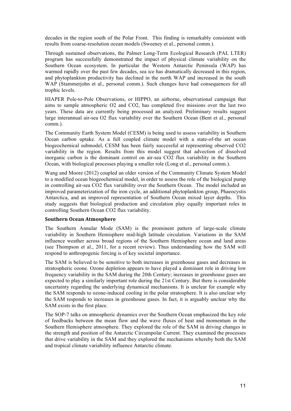decades in the region south of the Polar Front. This finding is remarkably consistent with results from coarse-resolution ocean models (Sweeney et al., personal comm.).

Through sustained observations, the Palmer Long-Term Ecological Research (PAL LTER) program has successfully demonstrated the impact of physical climate variability on the Southern Ocean ecosystem. In particular the Western Antarctic Peninsula (WAP) has warmed rapidly over the past few decades, sea ice has dramatically decreased in this region, and phytoplankton productivity has declined in the north WAP and increased in the south WAP (Stammerjohn et al., personal comm.). Such changes have had consequences for all trophic levels.

HIAPER Pole-to-Pole Observations, or HIPPO, an airborne, observational campaign that aims to sample atmospheric O2 and CO2, has completed five missions over the last two years. These data are currently being processed an analyzed. Preliminary results suggest large interannual air-sea O2 flux variability over the Southern Ocean (Bent et al., personal comm.).

The Community Earth System Model (CESM) is being used to assess variability in Southern Ocean carbon uptake. As a full coupled climate model with a state-of-the art ocean biogeochemical submodel, CESM has been fairly successful at representing observed CO2 variability in the region. Results from this model suggest that advection of dissolved inorganic carbon is the dominant control on air-sea CO2 flux variability in the Southern Ocean, with biological processes playing a smaller role (Long et al., personal comm.).

Wang and Moore (2012) coupled an older version of the Community Climate System Model to a modified ocean biogeochemical model, in order to assess the role of the biological pump in controlling air-sea CO2 flux variability over the Southern Ocean. The model included an improved parameterization of the iron cycle, an additional phytoplankton group, Phaeocystis Antarctica, and an improved representation of Southern Ocean mixed layer depths. This study suggests that biological production and circulation play equally important roles in controlling Southern Ocean CO2 flux variability.

#### **Southern!Ocean!Atmosphere**

The Southern Annular Mode (SAM) is the prominent pattern of large-scale climate variability in Southern Hemisphere mid-high latitude circulation. Variations in the SAM influence weather across broad regions of the Southern Hemisphere ocean and land areas (see Thompson et al., 2011, for a recent review). Thus understanding how the SAM will respond to anthropogenic forcing is of key societal importance.

The SAM is believed to be sensitive to both increases in greenhouse gases and decreases in stratospheric ozone. Ozone depletion appears to have played a dominant role in driving low frequency variability in the SAM during the 20th Century; increases in greenhouse gases are expected to play a similarly important role during the 21st Century. But there is considerable uncertainty regarding the underlying dynamical mechanisms. It is unclear for example why the SAM responds to ozone-induced cooling in the polar stratosphere. It is also unclear why the SAM responds to increases in greenhouse gases. In fact, it is arguably unclear why the SAM exists in the first place.

The SOP-7 talks on atmospheric dynamics over the Southern Ocean emphasized the key role of feedbacks between the mean flow and the wave fluxes of heat and momentum in the Southern Hemisphere atmosphere. They explored the role of the SAM in driving changes in the strength and position of the Antarctic Circumpolar Current. They examined the processes that drive variability in the SAM and they explored the mechanisms whereby both the SAM and tropical climate variability influence Antarctic climate.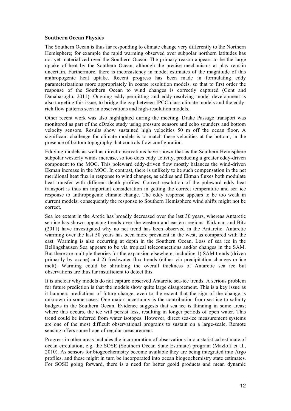#### **Southern!Ocean!Physics**

The Southern Ocean is thus far responding to climate change very differently to the Northern Hemisphere; for example the rapid warming observed over subpolar northern latitudes has not yet materialized over the Southern Ocean. The primary reason appears to be the large uptake of heat by the Southern Ocean, although the precise mechanisms at play remain uncertain. Furthermore, there is inconsistency in model estimates of the magnitude of this anthropogenic heat uptake. Recent progress has been made in formulating eddy parameterizations more appropriately in coarse resolution models, so that to first order the response of the Southern Ocean to wind changes is correctly captured (Gent and Danabasoglu, 2011). Ongoing eddy-permitting and eddy-resolving model development is also targeting this issue, to bridge the gap between IPCC-class climate models and the eddyrich flow patterns seen in observations and high-resolution models.

Other recent work was also highlighted during the meeting. Drake Passage transport was monitored as part of the cDrake study using pressure sensors and echo sounders and bottom velocity sensors. Results show sustained high velocities 50 m off the ocean floor. A significant challenge for climate models is to match these velocities at the bottom, in the presence of bottom topography that controls flow configuration.

Eddying models as well as direct observations have shown that as the Southern Hemisphere subpolar westerly winds increase, so too does eddy activity, producing a greater eddy-driven component to the MOC. This poleward eddy-driven flow mostly balances the wind-driven Ekman increase in the MOC. In contrast, there is unlikely to be such compensation in the net meridional heat flux in response to wind changes, as eddies and Ekman fluxes both modulate heat transfer with different depth profiles. Correct resolution of the poleward eddy heat transport is thus an important consideration in getting the correct temperature and sea ice response to anthropogenic climate change. The eddy response appears to be too weak in current models; consequently the response to Southern Hemisphere wind shifts might not be correct.

Sea ice extent in the Arctic has broadly decreased over the last 30 years, whereas Antarctic sea-ice has shown opposing trends over the western and eastern regions. Kirkman and Bitz (2011) have investigated why no net trend has been observed in the Antarctic. Antarctic warming over the last 50 years has been more prevalent in the west, as compared with the east. Warming is also occurring at depth in the Southern Ocean. Loss of sea ice in the Bellingshausen Sea appears to be via tropical teleconnections and/or changes in the SAM. But there are multiple theories for the expansion elsewhere, including 1) SAM trends (driven primarily by ozone) and 2) freshwater flux trends (either via precipitation changes or ice melt). Warming could be shrinking the overall thickness of Antarctic sea ice but observations are thus far insufficient to detect this.

It is unclear why models do not capture observed Antarctic sea-ice trends. A serious problem for future prediction is that the models show quite large disagreement. This is a key issue as it hampers predictions of future change, even to the extent that the sign of the change is unknown in some cases. One major uncertainty is the contribution from sea ice to salinity budgets in the Southern Ocean. Evidence suggests that sea ice is thinning in some areas; where this occurs, the ice will persist less, resulting in longer periods of open water. This trend could be inferred from water isotopes. However, direct sea-ice measurement systems are one of the most difficult observational programs to sustain on a large-scale. Remote sensing offers some hope of regular measurement.

Progress in other areas includes the incorporation of observations into a statistical estimate of ocean circulation; e.g. the SOSE (Southern Ocean State Estimate) program (Mazloff et al., 2010). As sensors for biogeochemistry become available they are being integrated into Argo profiles, and these might in turn be incorporated into ocean biogeochemistry state estimates. For SOSE going forward, there is a need for better geoid products and mean dynamic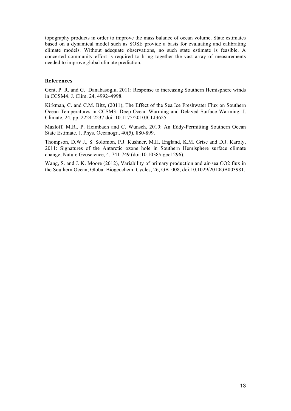topography products in order to improve the mass balance of ocean volume. State estimates based on a dynamical model such as SOSE provide a basis for evaluating and calibrating climate models. Without adequate observations, no such state estimate is feasible. A concerted community effort is required to bring together the vast array of measurements needed to improve global climate prediction.

#### **References**

Gent, P. R. and G. Danabasoglu, 2011: Response to increasing Southern Hemisphere winds in CCSM4. J. Clim. 24, 4992–4998.

Kirkman, C. and C.M. Bitz, (2011), The Effect of the Sea Ice Freshwater Flux on Southern Ocean Temperatures in CCSM3: Deep Ocean Warming and Delayed Surface Warming, J. Climate, 24, pp. 2224-2237 doi: 10.1175/2010JCLI3625.

Mazloff, M.R., P. Heimbach and C. Wunsch, 2010: An Eddy-Permitting Southern Ocean State Estimate. J. Phys. Oceanogr., 40(5), 880-899.

Thompson, D.W.J., S. Solomon, P.J. Kushner, M.H. England, K.M. Grise and D.J. Karoly, 2011: Signatures of the Antarctic ozone hole in Southern Hemisphere surface climate change, Nature Geoscience, 4, 741-749 (doi:10.1038/ngeo1296).

Wang, S. and J. K. Moore (2012), Variability of primary production and air-sea CO2 flux in the Southern Ocean, Global Biogeochem. Cycles, 26, GB1008, doi:10.1029/2010GB003981.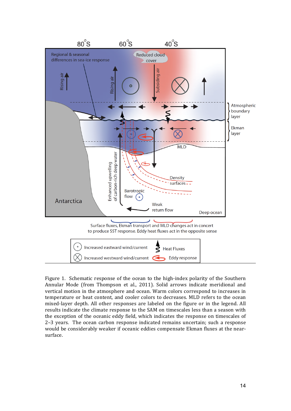

Figure 1. Schematic response of the ocean to the high-index polarity of the Southern Annular Mode (from Thompson et al., 2011). Solid arrows indicate meridional and vertical motion in the atmosphere and ocean. Warm colors correspond to increases in temperature or heat content, and cooler colors to decreases. MLD refers to the ocean mixed-layer depth. All other responses are labeled on the figure or in the legend. All results indicate the climate response to the SAM on timescales less than a season with the exception of the oceanic eddy field, which indicates the response on timescales of 2-3 years. The ocean carbon response indicated remains uncertain; such a response would be considerably weaker if oceanic eddies compensate Ekman fluxes at the nearsurface.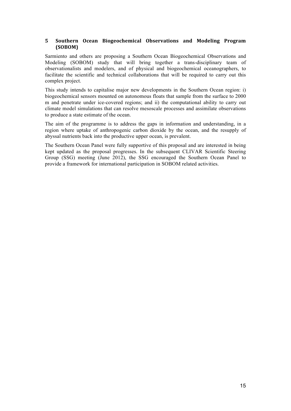## **5 Southern! Ocean! Biogeochemical! Observations and! Modeling! Program! (SOBOM)**

Sarmiento and others are proposing a Southern Ocean Biogeochemical Observations and Modeling (SOBOM) study that will bring together a trans-disciplinary team of observationalists and modelers, and of physical and biogeochemical oceanographers, to facilitate the scientific and technical collaborations that will be required to carry out this complex project.

This study intends to capitalise major new developments in the Southern Ocean region: i) biogeochemical sensors mounted on autonomous floats that sample from the surface to 2000 m and penetrate under ice-covered regions; and ii) the computational ability to carry out climate model simulations that can resolve mesoscale processes and assimilate observations to produce a state estimate of the ocean.

The aim of the programme is to address the gaps in information and understanding, in a region where uptake of anthropogenic carbon dioxide by the ocean, and the resupply of abyssal nutrients back into the productive upper ocean, is prevalent.

The Southern Ocean Panel were fully supportive of this proposal and are interested in being kept updated as the proposal progresses. In the subsequent CLIVAR Scientific Steering Group (SSG) meeting (June 2012), the SSG encouraged the Southern Ocean Panel to provide a framework for international participation in SOBOM related activities.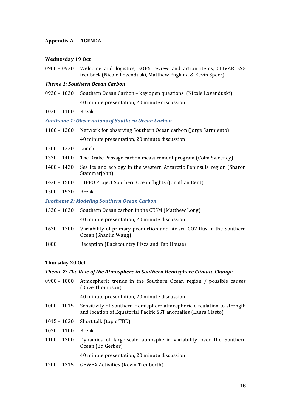### **Appendix!A. AGENDA**

#### **Wednesday 19 Oct**

 $0900 - 0930$  Welcome and logistics, SOP6 review and action items, CLIVAR SSG feedback (Nicole Lovenduski, Matthew England & Kevin Speer)

#### *Theme%1:%Southern%Ocean%Carbon*

- 0930 1030 Southern Ocean Carbon key open questions (Nicole Lovenduski) 40 minute presentation, 20 minute discussion
- 1030 1100 Break

#### *Subtheme%1:%Observations%of%Southern%Ocean%Carbon*

- 1100 1200 Network for observing Southern Ocean carbon (Jorge Sarmiento) 40 minute presentation, 20 minute discussion
- 1200 1330 Lunch
- $1330 1400$  The Drake Passage carbon measurement program (Colm Sweeney)
- 1400 1430 Sea ice and ecology in the western Antarctic Peninsula region (Sharon Stammerjohn)
- 1430 1500 HIPPO Project Southern Ocean flights (Jonathan Bent)
- 1500!– 1530 Break

#### *Subtheme%2:%Modeling%Southern%Ocean%Carbon%*

| 1530 – 1630 Southern Ocean carbon in the CESM (Matthew Long)                                               |
|------------------------------------------------------------------------------------------------------------|
| 40 minute presentation, 20 minute discussion                                                               |
| 1630 – 1700 Variability of primary production and air-sea CO2 flux in the Southern<br>Ocean (Shanlin Wang) |

1800 Reception (Backcountry Pizza and Tap House)

#### **Thursday!20!Oct**

#### **Theme 2: The Role of the Atmosphere in Southern Hemisphere Climate Change**

- 0900 1000 Atmospheric trends in the Southern Ocean region / possible causes (Dave Thompson)
	- 40 minute presentation, 20 minute discussion
- $1000 1015$  Sensitivity of Southern Hemisphere atmospheric circulation to strength and location of Equatorial Pacific SST anomalies (Laura Ciasto)
- $1015 1030$  Short talk (topic TBD)
- 1030!– 1100 Break
- $1100 1200$  Dynamics of large-scale atmospheric variability over the Southern Ocean (Ed Gerber)

40 minute presentation, 20 minute discussion

1200 – 1215 GEWEX Activities (Kevin Trenberth)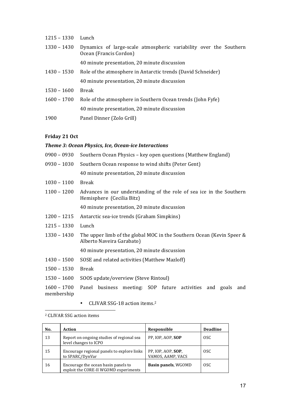| $1215 - 1330$ | Lunch                                                                                       |
|---------------|---------------------------------------------------------------------------------------------|
| 1330 - 1430   | Dynamics of large-scale atmospheric variability over the Southern<br>Ocean (Francis Cordon) |
|               | 40 minute presentation, 20 minute discussion                                                |
| 1430 – 1530   | Role of the atmosphere in Antarctic trends (David Schneider)                                |
|               | 40 minute presentation, 20 minute discussion                                                |
| $1530 - 1600$ | Break                                                                                       |
| $1600 - 1700$ | Role of the atmosphere in Southern Ocean trends (John Fyfe)                                 |
|               | 40 minute presentation, 20 minute discussion                                                |
| 1900          | Panel Dinner (Zolo Grill)                                                                   |

## **Friday 21 Oct**

#### *Theme 3: Ocean Physics, Ice, Ocean-ice Interactions*

| 0900 – 0930 Southern Ocean Physics – key open questions (Matthew England) |
|---------------------------------------------------------------------------|
| 0930 – 1030 Southern Ocean response to wind shifts (Peter Gent)           |

40 minute presentation, 20 minute discussion

- 1030 1100 Break
- $1100 1200$  Advances in our understanding of the role of sea ice in the Southern Hemisphere (Cecilia Bitz)

40 minute presentation, 20 minute discussion

- 1200 1215 Antarctic sea-ice trends (Graham Simpkins)
- 1215 1330 Lunch
- 1330 1430 The upper limb of the global MOC in the Southern Ocean (Kevin Speer & Alberto Naveira Garabato)

40 minute presentation, 20 minute discussion

- 1430 1500 SOSE and related activities (Matthew Mazloff)
- 1500 1530 Break
- 1530 1600 SOOS update/overview (Steve Rintoul)

1600 - 1700 Panel business meeting: SOP future activities and goals and membership

• CLIVAR SSG-18 action items.<sup>2</sup>

<sup>2</sup> CLIVAR SSG action items

 $\overline{a}$ 

| No. | Action                                                                       | Responsible                             | <b>Deadline</b> |
|-----|------------------------------------------------------------------------------|-----------------------------------------|-----------------|
| 13  | Report on ongoing studies of regional sea<br>level changes to ICPO           | PP, IOP, AOP, SOP                       | <sub>OSC</sub>  |
| 15  | Encourage regional panels to explore links<br>to SPARC/DynVar                | PP, IOP, AOP, SOP,<br>VAMOS, AAMP, VACS | <sub>OSC</sub>  |
| 16  | Encourage the ocean basin panels to<br>exploit the CORE-II WGOMD experiments | Basin panels, WGOMD                     | OSC.            |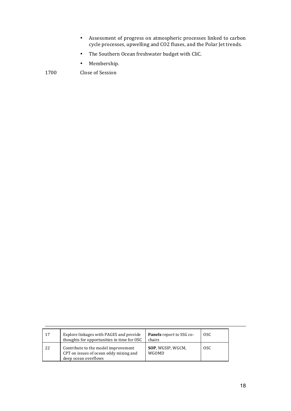- Assessment of progress on atmospheric processes linked to carbon cycle processes, upwelling and CO2 fluxes, and the Polar Jet trends.
- The Southern Ocean freshwater budget with CliC.
- Membership.

1700 Close of Session

| 17 | Explore linkages with PAGES and provide<br>thoughts for opportunities in time for OSC                 | Panels report to SSG co-<br>chairs | OSC. |
|----|-------------------------------------------------------------------------------------------------------|------------------------------------|------|
| 22 | Contribute to the model improvement<br>CPT on issues of ocean eddy mixing and<br>deep ocean overflows | SOP, WGSIP, WGCM,<br>WGOMD         | OSC. |